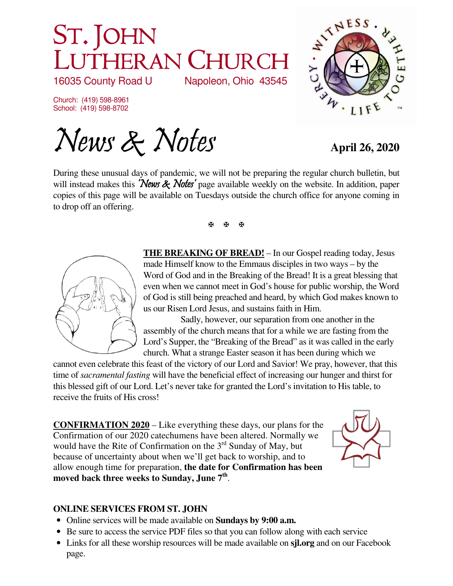# ST. JOHN LUTHERAN CHURCH<br>16035 County Road U Napoleon, Ohio 43545 Napoleon, Ohio 43545

Church: (419) 598-8961 School: (419) 598-8702

News & Notes **April 26, 2020** 

ATTNESS **CANNA** · LIF

During these unusual days of pandemic, we will not be preparing the regular church bulletin, but will instead makes this 'News & Notes' page available weekly on the website. In addition, paper copies of this page will be available on Tuesdays outside the church office for anyone coming in to drop off an offering.

医图图



**THE BREAKING OF BREAD!** – In our Gospel reading today, Jesus made Himself know to the Emmaus disciples in two ways – by the Word of God and in the Breaking of the Bread! It is a great blessing that even when we cannot meet in God's house for public worship, the Word of God is still being preached and heard, by which God makes known to us our Risen Lord Jesus, and sustains faith in Him.

 Sadly, however, our separation from one another in the assembly of the church means that for a while we are fasting from the Lord's Supper, the "Breaking of the Bread" as it was called in the early church. What a strange Easter season it has been during which we

cannot even celebrate this feast of the victory of our Lord and Savior! We pray, however, that this time of *sacramental fasting* will have the beneficial effect of increasing our hunger and thirst for this blessed gift of our Lord. Let's never take for granted the Lord's invitation to His table, to receive the fruits of His cross!

**CONFIRMATION 2020** – Like everything these days, our plans for the Confirmation of our 2020 catechumens have been altered. Normally we would have the Rite of Confirmation on the 3<sup>rd</sup> Sunday of May, but because of uncertainty about when we'll get back to worship, and to allow enough time for preparation, **the date for Confirmation has been moved back three weeks to Sunday, June 7th** .



## **ONLINE SERVICES FROM ST. JOHN**

- Online services will be made available on **Sundays by 9:00 a.m.**
- Be sure to access the service PDF files so that you can follow along with each service
- Links for all these worship resources will be made available on **sjl.org** and on our Facebook page.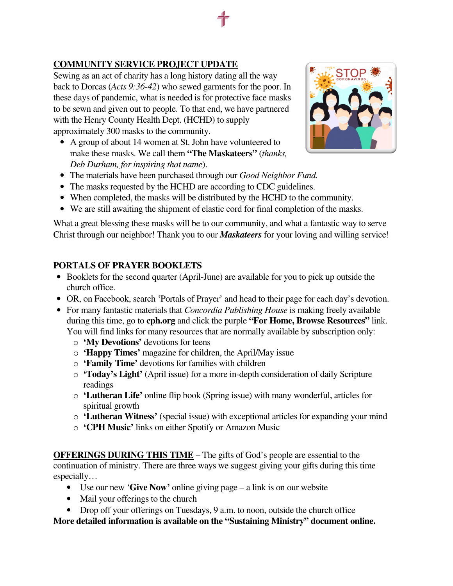## **COMMUNITY SERVICE PROJECT UPDATE**

Sewing as an act of charity has a long history dating all the way back to Dorcas (*Acts 9:36-42*) who sewed garments for the poor. In these days of pandemic, what is needed is for protective face masks to be sewn and given out to people. To that end, we have partnered with the Henry County Health Dept. (HCHD) to supply approximately 300 masks to the community.

• A group of about 14 women at St. John have volunteered to make these masks. We call them **"The Maskateers"** (*thanks, Deb Durham, for inspiring that name*).



- The materials have been purchased through our *Good Neighbor Fund.*
- The masks requested by the HCHD are according to CDC guidelines.
- When completed, the masks will be distributed by the HCHD to the community.
- We are still awaiting the shipment of elastic cord for final completion of the masks.

What a great blessing these masks will be to our community, and what a fantastic way to serve Christ through our neighbor! Thank you to our *Maskateers* for your loving and willing service!

## **PORTALS OF PRAYER BOOKLETS**

- Booklets for the second quarter (April-June) are available for you to pick up outside the church office.
- OR, on Facebook, search 'Portals of Prayer' and head to their page for each day's devotion.
- For many fantastic materials that *Concordia Publishing House* is making freely available during this time, go to **cph.org** and click the purple **"For Home, Browse Resources"** link. You will find links for many resources that are normally available by subscription only:
	- o **'My Devotions'** devotions for teens
	- o **'Happy Times'** magazine for children, the April/May issue
	- o **'Family Time'** devotions for families with children
	- o **'Today's Light'** (April issue) for a more in-depth consideration of daily Scripture readings
	- o **'Lutheran Life'** online flip book (Spring issue) with many wonderful, articles for spiritual growth
	- o **'Lutheran Witness'** (special issue) with exceptional articles for expanding your mind
	- o **'CPH Music'** links on either Spotify or Amazon Music

**OFFERINGS DURING THIS TIME** – The gifts of God's people are essential to the continuation of ministry. There are three ways we suggest giving your gifts during this time especially…

- Use our new '**Give Now'** online giving page a link is on our website
- Mail your offerings to the church
- Drop off your offerings on Tuesdays, 9 a.m. to noon, outside the church office

**More detailed information is available on the "Sustaining Ministry" document online.**